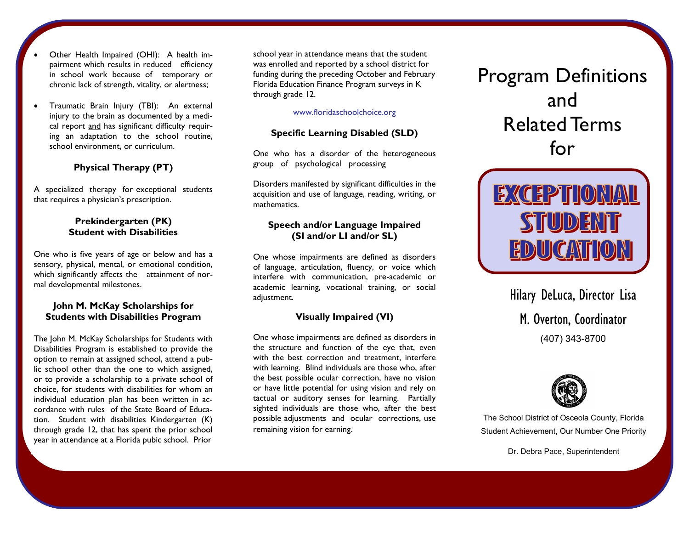- Other Health Impaired (OHI): A health impairment which results in reduced efficiency in school work because of temporary or chronic lack of strength, vitality, or alertness;
- Traumatic Brain Injury (TBI): An external injury to the brain as documented by a medical report and has significant difficulty requiring an adaptation to the school routine, school environment, or curriculum.

## **Physical Therapy (PT)**

A specialized therapy for exceptional students that requires a physician's prescription.

#### **Prekindergarten (PK) Student with Disabilities**

One who is five years of age or below and has a sensory, physical, mental, or emotional condition, which significantly affects the attainment of normal developmental milestones.

#### **John M. McKay Scholarships for Students with Disabilities Program**

The John M. McKay Scholarships for Students with Disabilities Program is established to provide the option to remain at assigned school, attend a public school other than the one to which assigned, or to provide a scholarship to a private school of choice, for students with disabilities for whom an individual education plan has been written in accordance with rules of the State Board of Education. Student with disabilities Kindergarten (K) through grade 12, that has spent the prior school year in attendance at a Florida pubic school. Prior

school year in attendance means that the student was enrolled and reported by a school district for funding during the preceding October and February Florida Education Finance Program surveys in K through grade 12.

#### www.floridaschoolchoice.org

## **Specific Learning Disabled (SLD)**

One who has a disorder of the heterogeneous group of psychological processing

Disorders manifested by significant difficulties in the acquisition and use of language, reading, writing, or mathematics.

#### **Speech and/or Language Impaired (SI and/or LI and/or SL)**

One whose impairments are defined as disorders of language, articulation, fluency, or voice which interfere with communication, pre-academic or academic learning, vocational training, or social adjustment.

## **Visually Impaired (VI)**

One whose impairments are defined as disorders in the structure and function of the eye that, even with the best correction and treatment, interfere with learning. Blind individuals are those who, after the best possible ocular correction, have no vision or have little potential for using vision and rely on tactual or auditory senses for learning. Partially sighted individuals are those who, after the best possible adjustments and ocular corrections, use remaining vision for earning.

# Program Definitions and Related Terms for



Hilary DeLuca, Director Lisa M. Overton, Coordinator (407) 343-8700



The School District of Osceola County, Florida Student Achievement, Our Number One Priority

Dr. Debra Pace, Superintendent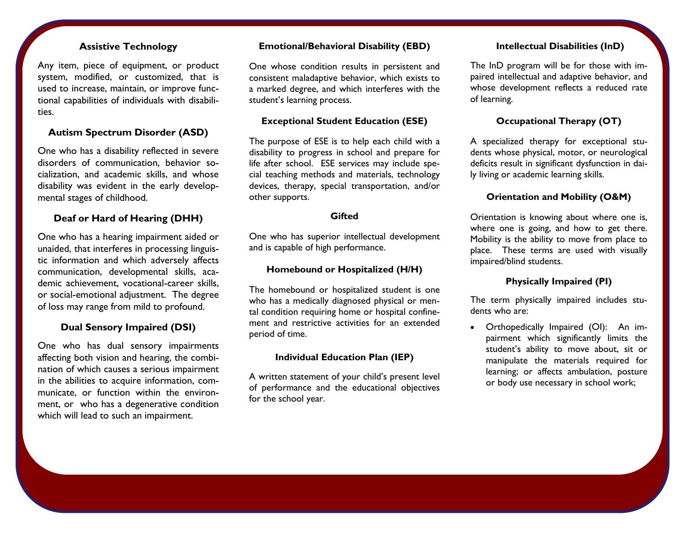# **Assistive Technology**

Any item, piece of equipment, or product system, modified, or customized, that is used to increase, maintain, or improve functional capabilities of individuals with disabilities.

## **Autism Spectrum Disorder (ASD)**

One who has a disability reflected in severe disorders of communication, behavior socialization, and academic skills, and whose disability was evident in the early developmental stages of childhood.

## **Deaf or Hard of Hearing (DHH)**

One who has a hearing impairment aided or unaided, that interferes in processing linguistic information and which adversely affects communication, developmental skills, academic achievement, vocational-career skills, or social-emotional adjustment. The degree of loss may range from mild to profound.

## **Dual Sensory Impaired (DSI)**

One who has dual sensory impairments affecting both vision and hearing, the combination of which causes a serious impairment in the abilities to acquire information, communicate, or function within the environment, or who has a degenerative condition which will lead to such an impairment.

#### **Emotional/Behavioral Disability (EBD)**

One whose condition results in persistent and consistent maladaptive behavior, which exists to a marked degree, and which interferes with the student's learning process.

## **Exceptional Student Education (ESE)**

The purpose of ESE is to help each child with a disability to progress in school and prepare for life after school. ESE services may include special teaching methods and materials, technology devices, therapy, special transportation, and/or other supports.

#### **Gifted**

One who has superior intellectual development and is capable of high performance.

## **Homebound or Hospitalized (H/H)**

The homebound or hospitalized student is one who has a medically diagnosed physical or mental condition requiring home or hospital confinement and restrictive activities for an extended period of time.

## **Individual Education Plan (IEP)**

A written statement of your child's present level of performance and the educational objectives for the school year.

## **Intellectual Disabilities (InD)**

The InD program will be for those with impaired intellectual and adaptive behavior, and whose development reflects a reduced rate of learning.

## **Occupational Therapy (OT)**

A specialized therapy for exceptional students whose physical, motor, or neurological deficits result in significant dysfunction in daily living or academic learning skills.

## **Orientation and Mobility (O&M)**

Orientation is knowing about where one is, where one is going, and how to get there. Mobility is the ability to move from place to place. These terms are used with visually impaired/blind students.

## **Physically Impaired (PI)**

The term physically impaired includes students who are:

 Orthopedically Impaired (OI): An impairment which significantly limits the student's ability to move about, sit or manipulate the materials required for learning; or affects ambulation, posture or body use necessary in school work;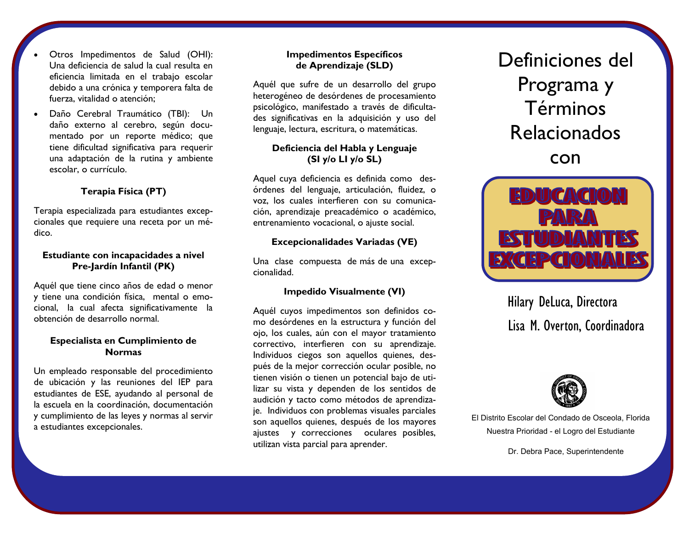- Otros Impedimentos de Salud (OHI): Una deficiencia de salud la cual resulta en eficiencia limitada en el trabajo escolar debido a una crónica y temporera falta de fuerza, vitalidad o atención;
- Daño Cerebral Traumático (TBI): Un daño externo al cerebro, según documentado por un reporte médico; que tiene dificultad significativa para requerir una adaptación de la rutina y ambiente escolar, o currículo.

# **Terapia Física (PT)**

Terapia especializada para estudiantes excepcionales que requiere una receta por un médico.

## **Estudiante con incapacidades a nivel Pre-Jardín Infantil (PK)**

Aquél que tiene cinco años de edad o menor y tiene una condición física, mental o emocional, la cual afecta significativamente la obtención de desarrollo normal.

## **Especialista en Cumplimiento de Normas**

Un empleado responsable del procedimiento de ubicación y las reuniones del IEP para estudiantes de ESE, ayudando al personal de la escuela en la coordinación, documentación y cumplimiento de las leyes y normas al servir a estudiantes excepcionales.

## **Impedimentos Específicos de Aprendizaje (SLD)**

Aquél que sufre de un desarrollo del grupo heterogéneo de desórdenes de procesamiento psicológico, manifestado a través de dificultades significativas en la adquisición y uso del lenguaje, lectura, escritura, o matemáticas.

# **Deficiencia del Habla y Lenguaje (SI y/o LI y/o SL)**

Aquel cuya deficiencia es definida como desórdenes del lenguaje, articulación, fluidez, o voz, los cuales interfieren con su comunicación, aprendizaje preacadémico o académico, entrenamiento vocacional, o ajuste social.

## **Excepcionalidades Variadas (VE)**

Una clase compuesta de más de una excepcionalidad.

# **Impedido Visualmente (VI)**

Aquél cuyos impedimentos son definidos como desórdenes en la estructura y función del ojo, los cuales, aún con el mayor tratamiento correctivo, interfieren con su aprendizaje. Individuos ciegos son aquellos quienes, después de la mejor corrección ocular posible, no tienen visión o tienen un potencial bajo de utilizar su vista y dependen de los sentidos de audición y tacto como métodos de aprendizaje. Individuos con problemas visuales parciales son aquellos quienes, después de los mayores ajustes y correcciones oculares posibles, utilizan vista parcial para aprender.

Definiciones del Programa y Términos Relacionados con



Hilary DeLuca, Directora Lisa M. Overton, Coordinadora



El Distrito Escolar del Condado de Osceola, Florida Nuestra Prioridad - el Logro del Estudiante

Dr. Debra Pace, Superintendente